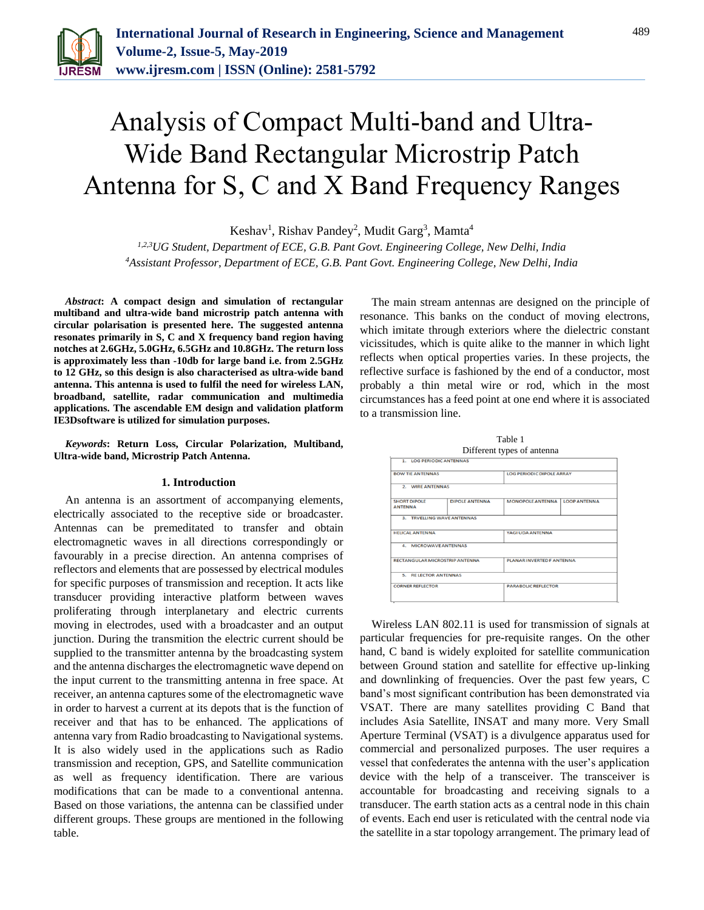

# Analysis of Compact Multi-band and Ultra-Wide Band Rectangular Microstrip Patch Antenna for S, C and X Band Frequency Ranges

Keshav<sup>1</sup>, Rishav Pandey<sup>2</sup>, Mudit Garg<sup>3</sup>, Mamta<sup>4</sup>

*1,2,3UG Student, Department of ECE, G.B. Pant Govt. Engineering College, New Delhi, India 4Assistant Professor, Department of ECE, G.B. Pant Govt. Engineering College, New Delhi, India*

*Abstract***: A compact design and simulation of rectangular multiband and ultra-wide band microstrip patch antenna with circular polarisation is presented here. The suggested antenna resonates primarily in S, C and X frequency band region having notches at 2.6GHz, 5.0GHz, 6.5GHz and 10.8GHz. The return loss is approximately less than -10db for large band i.e. from 2.5GHz to 12 GHz, so this design is also characterised as ultra-wide band antenna. This antenna is used to fulfil the need for wireless LAN, broadband, satellite, radar communication and multimedia applications. The ascendable EM design and validation platform IE3Dsoftware is utilized for simulation purposes.**

*Keywords***: Return Loss, Circular Polarization, Multiband, Ultra-wide band, Microstrip Patch Antenna.**

#### **1. Introduction**

An antenna is an assortment of accompanying elements, electrically associated to the receptive side or broadcaster. Antennas can be premeditated to transfer and obtain electromagnetic waves in all directions correspondingly or favourably in a precise direction. An antenna comprises of reflectors and elements that are possessed by electrical modules for specific purposes of transmission and reception. It acts like transducer providing interactive platform between waves proliferating through interplanetary and electric currents moving in electrodes, used with a broadcaster and an output junction. During the transmition the electric current should be supplied to the transmitter antenna by the broadcasting system and the antenna discharges the electromagnetic wave depend on the input current to the transmitting antenna in free space. At receiver, an antenna captures some of the electromagnetic wave in order to harvest a current at its depots that is the function of receiver and that has to be enhanced. The applications of antenna vary from Radio broadcasting to Navigational systems. It is also widely used in the applications such as Radio transmission and reception, GPS, and Satellite communication as well as frequency identification. There are various modifications that can be made to a conventional antenna. Based on those variations, the antenna can be classified under different groups. These groups are mentioned in the following table.

The main stream antennas are designed on the principle of resonance. This banks on the conduct of moving electrons, which imitate through exteriors where the dielectric constant vicissitudes, which is quite alike to the manner in which light reflects when optical properties varies. In these projects, the reflective surface is fashioned by the end of a conductor, most probably a thin metal wire or rod, which in the most circumstances has a feed point at one end where it is associated to a transmission line.



Wireless LAN 802.11 is used for transmission of signals at particular frequencies for pre-requisite ranges. On the other hand, C band is widely exploited for satellite communication between Ground station and satellite for effective up-linking and downlinking of frequencies. Over the past few years, C band's most significant contribution has been demonstrated via VSAT. There are many satellites providing C Band that includes Asia Satellite, INSAT and many more. Very Small Aperture Terminal (VSAT) is a divulgence apparatus used for commercial and personalized purposes. The user requires a vessel that confederates the antenna with the user's application device with the help of a transceiver. The transceiver is accountable for broadcasting and receiving signals to a transducer. The earth station acts as a central node in this chain of events. Each end user is reticulated with the central node via the satellite in a star topology arrangement. The primary lead of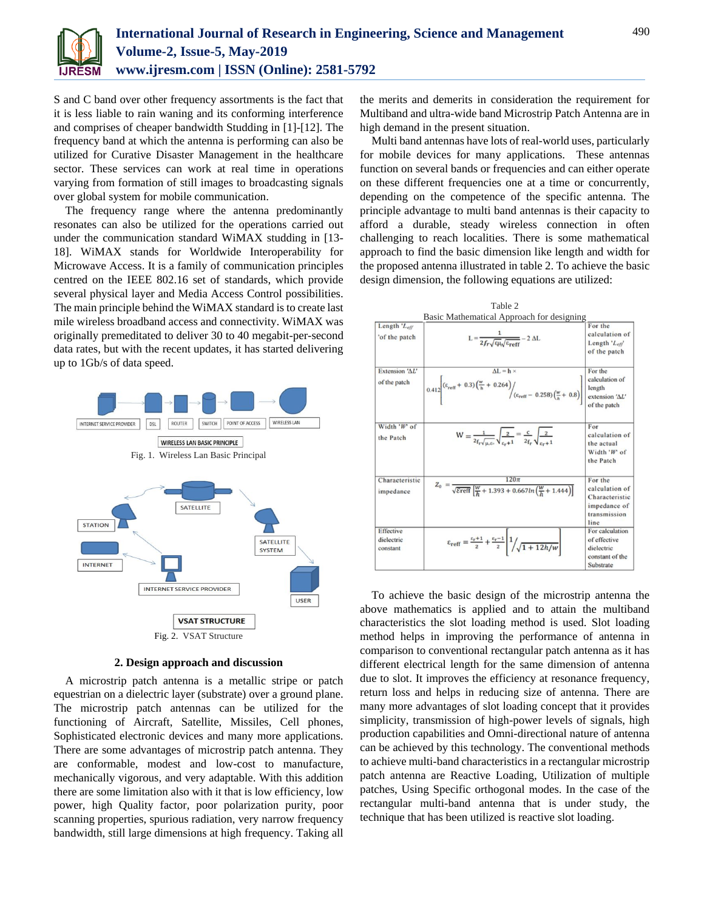

S and C band over other frequency assortments is the fact that it is less liable to rain waning and its conforming interference and comprises of cheaper bandwidth Studding in [1]-[12]. The frequency band at which the antenna is performing can also be utilized for Curative Disaster Management in the healthcare sector. These services can work at real time in operations varying from formation of still images to broadcasting signals over global system for mobile communication.

The frequency range where the antenna predominantly resonates can also be utilized for the operations carried out under the communication standard WiMAX studding in [13- 18]. WiMAX stands for Worldwide Interoperability for Microwave Access. It is a family of communication principles centred on the IEEE 802.16 set of standards, which provide several physical layer and Media Access Control possibilities. The main principle behind the WiMAX standard is to create last mile wireless broadband access and connectivity. WiMAX was originally premeditated to deliver 30 to 40 megabit-per-second data rates, but with the recent updates, it has started delivering up to 1Gb/s of data speed.



**2. Design approach and discussion**

A microstrip patch antenna is a metallic stripe or patch equestrian on a dielectric layer (substrate) over a ground plane. The microstrip patch antennas can be utilized for the functioning of Aircraft, Satellite, Missiles, Cell phones, Sophisticated electronic devices and many more applications. There are some advantages of microstrip patch antenna. They are conformable, modest and low-cost to manufacture, mechanically vigorous, and very adaptable. With this addition there are some limitation also with it that is low efficiency, low power, high Quality factor, poor polarization purity, poor scanning properties, spurious radiation, very narrow frequency bandwidth, still large dimensions at high frequency. Taking all the merits and demerits in consideration the requirement for Multiband and ultra-wide band Microstrip Patch Antenna are in high demand in the present situation.

Multi band antennas have lots of real-world uses, particularly for mobile devices for many applications. These antennas function on several bands or frequencies and can either operate on these different frequencies one at a time or concurrently, depending on the competence of the specific antenna. The principle advantage to multi band antennas is their capacity to afford a durable, steady wireless connection in often challenging to reach localities. There is some mathematical approach to find the basic dimension like length and width for the proposed antenna illustrated in table 2. To achieve the basic design dimension, the following equations are utilized:



To achieve the basic design of the microstrip antenna the above mathematics is applied and to attain the multiband characteristics the slot loading method is used. Slot loading method helps in improving the performance of antenna in comparison to conventional rectangular patch antenna as it has different electrical length for the same dimension of antenna due to slot. It improves the efficiency at resonance frequency, return loss and helps in reducing size of antenna. There are many more advantages of slot loading concept that it provides simplicity, transmission of high-power levels of signals, high production capabilities and Omni-directional nature of antenna can be achieved by this technology. The conventional methods to achieve multi-band characteristics in a rectangular microstrip patch antenna are Reactive Loading, Utilization of multiple patches, Using Specific orthogonal modes. In the case of the rectangular multi-band antenna that is under study, the technique that has been utilized is reactive slot loading.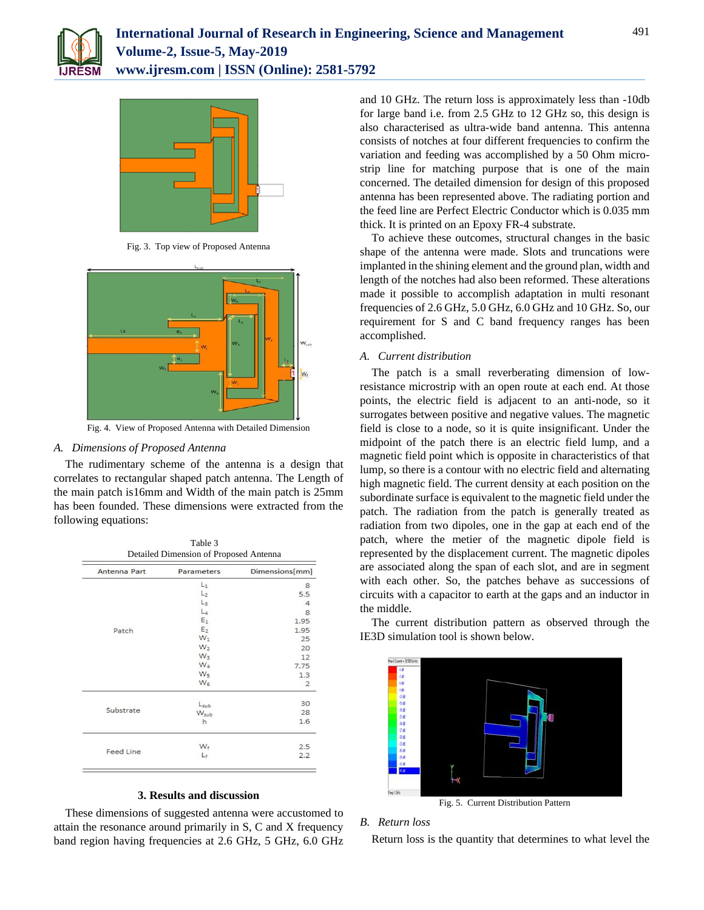



Fig. 3. Top view of Proposed Antenna



Fig. 4. View of Proposed Antenna with Detailed Dimension

# *A. Dimensions of Proposed Antenna*

The rudimentary scheme of the antenna is a design that correlates to rectangular shaped patch antenna. The Length of the main patch is16mm and Width of the main patch is 25mm has been founded. These dimensions were extracted from the following equations:

|  |  | Table 3<br>. |  |  |
|--|--|--------------|--|--|
|  |  |              |  |  |

| Antenna Part | Parameters       | Dimensions[mm] |  |  |  |
|--------------|------------------|----------------|--|--|--|
|              | $L_1$            | 8              |  |  |  |
| Patch        | L <sub>2</sub>   | 5.5            |  |  |  |
|              | $L_3$            | $\overline{4}$ |  |  |  |
|              | $L_4$            | 8              |  |  |  |
|              | $E_1$            | 1.95           |  |  |  |
|              | E <sub>2</sub>   | 1.95           |  |  |  |
|              | $W_1$            | 25             |  |  |  |
|              | $W_2$            | 20             |  |  |  |
|              | $W_3$            | 12             |  |  |  |
|              | W <sub>4</sub>   | 7.75           |  |  |  |
|              | W <sub>5</sub>   | 1.3            |  |  |  |
|              | $W_6$            | $\overline{2}$ |  |  |  |
|              | Lsub             | 30             |  |  |  |
| Substrate    | W <sub>sub</sub> | 28             |  |  |  |
|              | h                | 1.6            |  |  |  |
|              | W.               | 2.5            |  |  |  |
| Feed Line    | Le               | 2.2            |  |  |  |

### **3. Results and discussion**

These dimensions of suggested antenna were accustomed to attain the resonance around primarily in S, C and X frequency band region having frequencies at 2.6 GHz, 5 GHz, 6.0 GHz and 10 GHz. The return loss is approximately less than -10db for large band i.e. from 2.5 GHz to 12 GHz so, this design is also characterised as ultra-wide band antenna. This antenna consists of notches at four different frequencies to confirm the variation and feeding was accomplished by a 50 Ohm microstrip line for matching purpose that is one of the main concerned. The detailed dimension for design of this proposed antenna has been represented above. The radiating portion and the feed line are Perfect Electric Conductor which is 0.035 mm thick. It is printed on an Epoxy FR-4 substrate.

To achieve these outcomes, structural changes in the basic shape of the antenna were made. Slots and truncations were implanted in the shining element and the ground plan, width and length of the notches had also been reformed. These alterations made it possible to accomplish adaptation in multi resonant frequencies of 2.6 GHz, 5.0 GHz, 6.0 GHz and 10 GHz. So, our requirement for S and C band frequency ranges has been accomplished.

# *A. Current distribution*

The patch is a small reverberating dimension of lowresistance microstrip with an open route at each end. At those points, the electric field is adjacent to an anti-node, so it surrogates between positive and negative values. The magnetic field is close to a node, so it is quite insignificant. Under the midpoint of the patch there is an electric field lump, and a magnetic field point which is opposite in characteristics of that lump, so there is a contour with no electric field and alternating high magnetic field. The current density at each position on the subordinate surface is equivalent to the magnetic field under the patch. The radiation from the patch is generally treated as radiation from two dipoles, one in the gap at each end of the patch, where the metier of the magnetic dipole field is represented by the displacement current. The magnetic dipoles are associated along the span of each slot, and are in segment with each other. So, the patches behave as successions of circuits with a capacitor to earth at the gaps and an inductor in the middle.

The current distribution pattern as observed through the IE3D simulation tool is shown below.



Fig. 5. Current Distribution Pattern

### *B. Return loss*

Return loss is the quantity that determines to what level the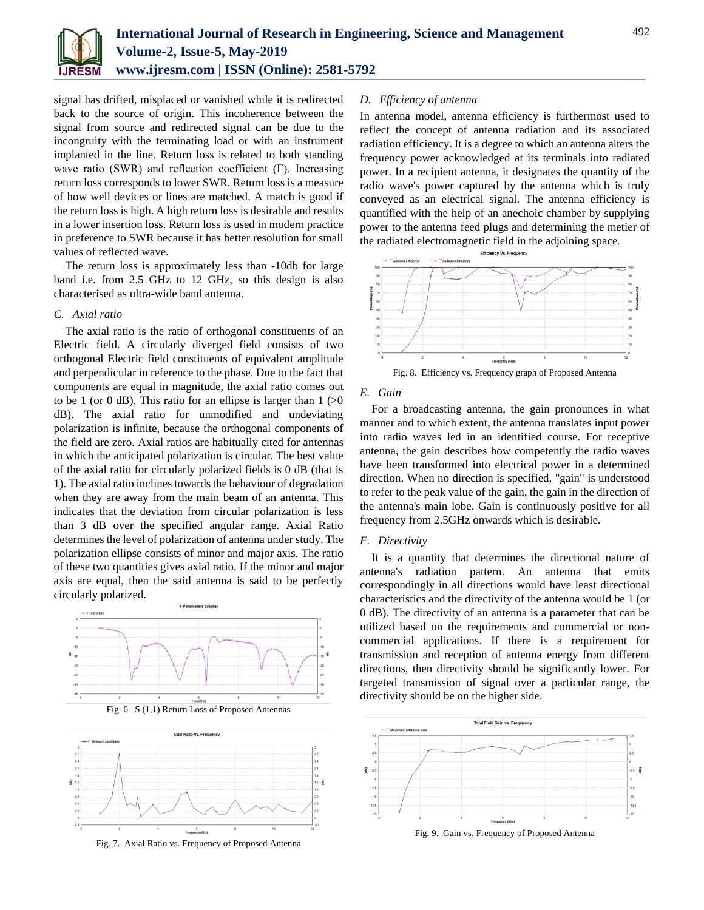

signal has drifted, misplaced or vanished while it is redirected back to the source of origin. This incoherence between the signal from source and redirected signal can be due to the incongruity with the terminating load or with an instrument implanted in the line. Return loss is related to both standing wave ratio (SWR) and reflection coefficient (Γ). Increasing return loss corresponds to lower SWR. Return loss is a measure of how well devices or lines are matched. A match is good if the return loss is high. A high return loss is desirable and results in a lower insertion loss. Return loss is used in modern practice in preference to SWR because it has better resolution for small values of reflected wave.

The return loss is approximately less than -10db for large band i.e. from 2.5 GHz to 12 GHz, so this design is also characterised as ultra-wide band antenna.

#### *C. Axial ratio*

The axial ratio is the ratio of orthogonal constituents of an Electric field. A circularly diverged field consists of two orthogonal Electric field constituents of equivalent amplitude and perpendicular in reference to the phase. Due to the fact that components are equal in magnitude, the axial ratio comes out to be 1 (or 0 dB). This ratio for an ellipse is larger than  $1$  ( $>0$ ) dB). The axial ratio for unmodified and undeviating polarization is infinite, because the orthogonal components of the field are zero. Axial ratios are habitually cited for antennas in which the anticipated polarization is circular. The best value of the axial ratio for circularly polarized fields is 0 dB (that is 1). The axial ratio inclines towards the behaviour of degradation when they are away from the main beam of an antenna. This indicates that the deviation from circular polarization is less than 3 dB over the specified angular range. Axial Ratio determines the level of polarization of antenna under study. The polarization ellipse consists of minor and major axis. The ratio of these two quantities gives axial ratio. If the minor and major axis are equal, then the said antenna is said to be perfectly circularly polarized.







Fig. 7. Axial Ratio vs. Frequency of Proposed Antenna

#### *D. Efficiency of antenna*

In antenna model, antenna efficiency is furthermost used to reflect the concept of antenna radiation and its associated radiation efficiency. It is a degree to which an antenna alters the frequency power acknowledged at its terminals into radiated power. In a recipient antenna, it designates the quantity of the radio wave's power captured by the antenna which is truly conveyed as an electrical signal. The antenna efficiency is quantified with the help of an anechoic chamber by supplying power to the antenna feed plugs and determining the metier of the radiated electromagnetic field in the adjoining space.



Fig. 8. Efficiency vs. Frequency graph of Proposed Antenna

#### *E. Gain*

For a broadcasting antenna, the gain pronounces in what manner and to which extent, the antenna translates input power into radio waves led in an identified course. For receptive antenna, the gain describes how competently the radio waves have been transformed into electrical power in a determined direction. When no direction is specified, "gain" is understood to refer to the peak value of the gain, the gain in the direction of the antenna's main lobe. Gain is continuously positive for all frequency from 2.5GHz onwards which is desirable.

#### *F. Directivity*

It is a quantity that determines the directional nature of antenna's radiation pattern. An antenna that emits correspondingly in all directions would have least directional characteristics and the directivity of the antenna would be 1 (or 0 dB). The directivity of an antenna is a parameter that can be utilized based on the requirements and commercial or noncommercial applications. If there is a requirement for transmission and reception of antenna energy from different directions, then directivity should be significantly lower. For targeted transmission of signal over a particular range, the directivity should be on the higher side.



Fig. 9. Gain vs. Frequency of Proposed Antenna